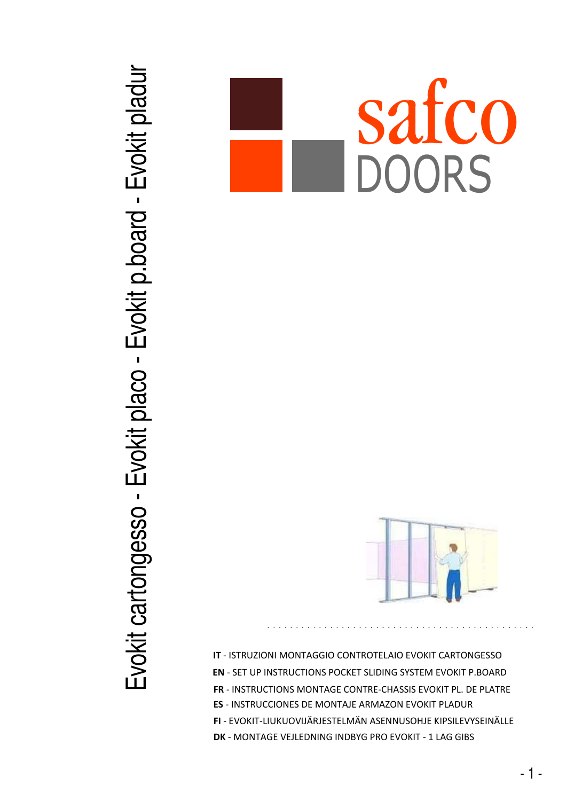## Evokit cartongesso - Evokit placo - Evokit p.board - Evokit pladur Evokit cartongesso - Evokit placo - Evokit p.board - Evokit pladur

## safco DOORS



**IT** - ISTRUZIONI MONTAGGIO CONTROTELAIO EVOKIT CARTONGESSO **FR** - INSTRUCTIONS MONTAGE CONTRE-CHASSIS EVOKIT PL. DE PLATRE **EN** - SET UP INSTRUCTIONS POCKET SLIDING SYSTEM EVOKIT P.BOARD **ES** - INSTRUCCIONES DE MONTAJE ARMAZON EVOKIT PLADUR **FI** - EVOKIT-LIUKUOVIJÄRJESTELMÄN ASENNUSOHJE KIPSILEVYSEINÄLLE **DK** - MONTAGE VEJLEDNING INDBYG PRO EVOKIT - 1 LAG GIBS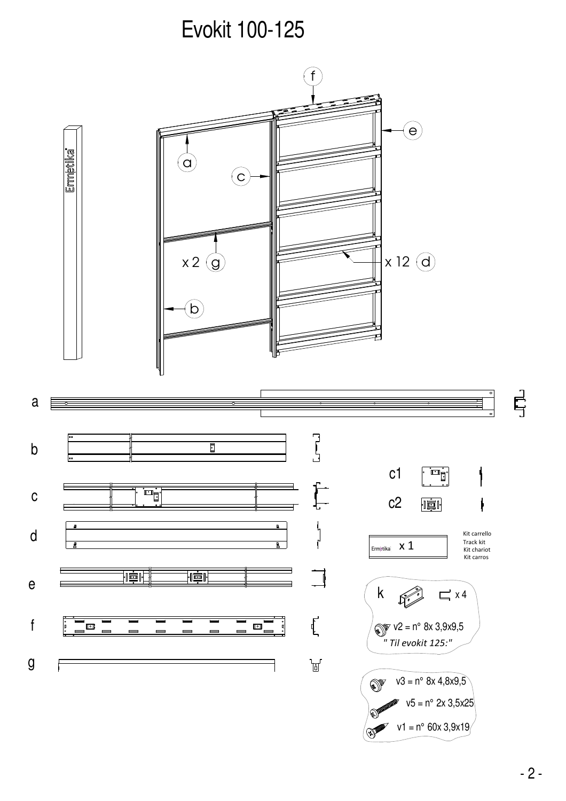Evokit 100-125

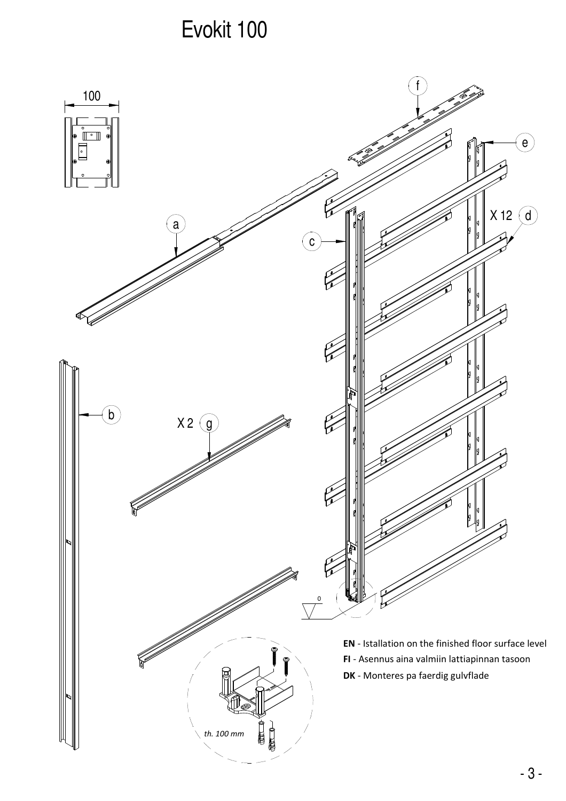## Evokit 100

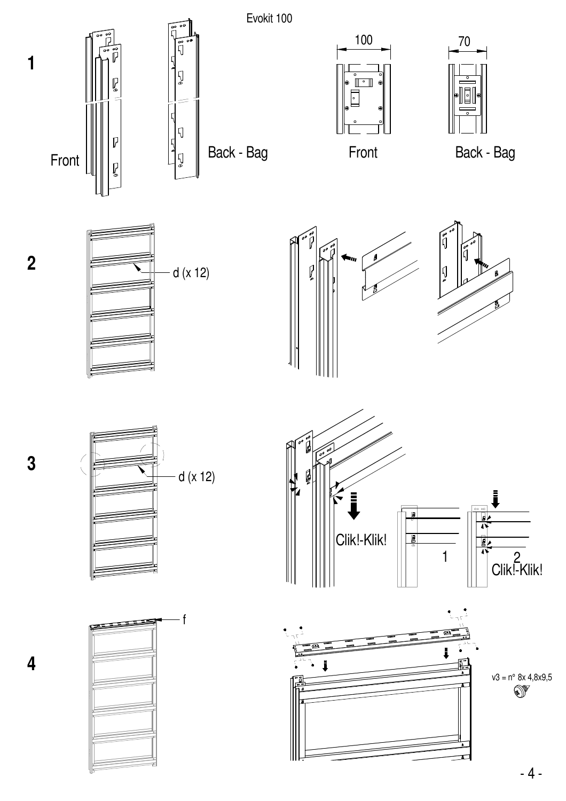

**3**

**4**

**2**

**1**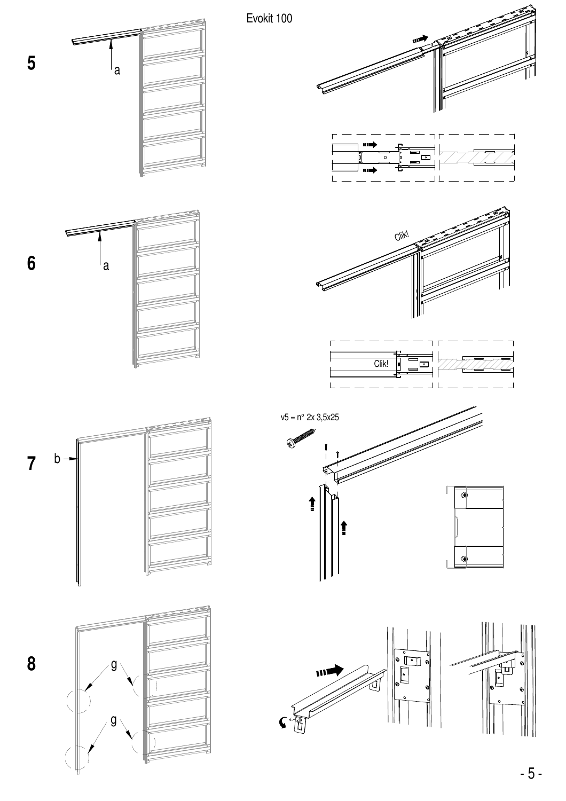

 $\overline{5}$ 

 $\boldsymbol{6}$ 

 $\overline{7}$ 

8

 $-5-$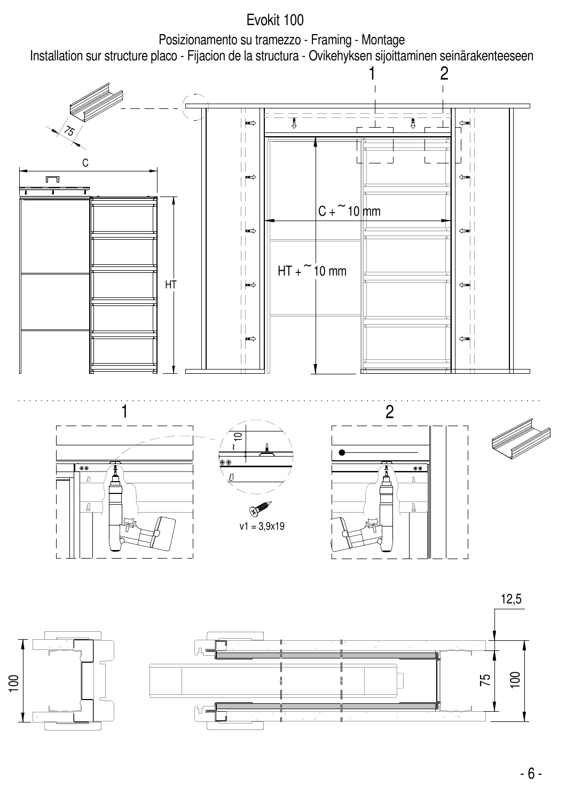

 $-6-$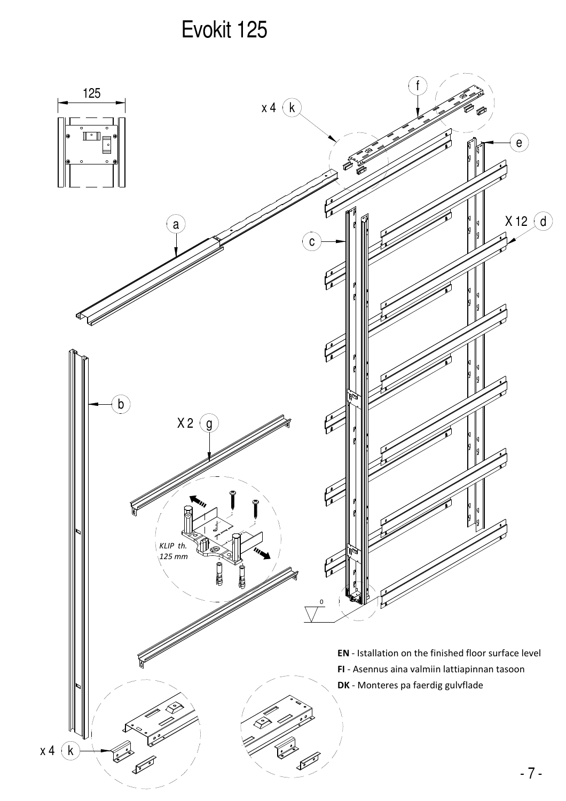## Evokit 125

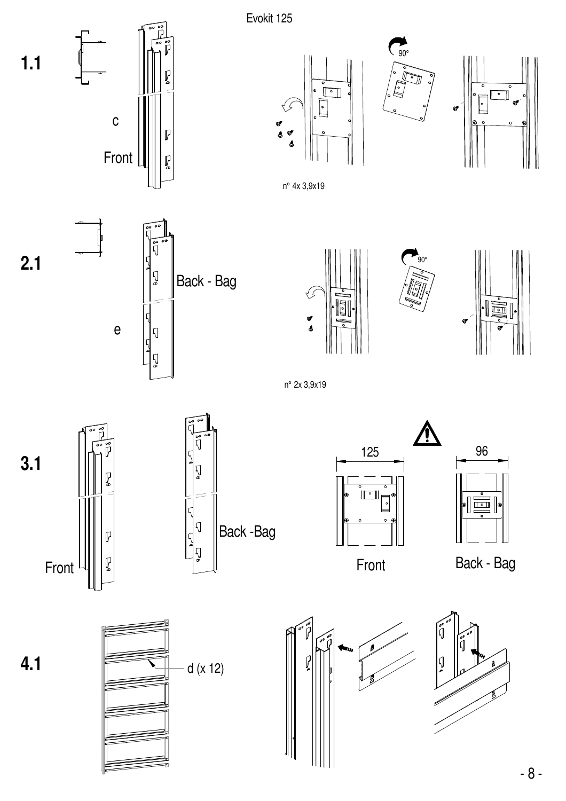







n° 4x 3,9x19



 $\mathsf{C}$ 

Front

 $\mathbb{R}$ 

P

 $1.1$ 





<u>^</u>



n° 2x 3,9x19







Front



Back - Bag

 $4.1$ 





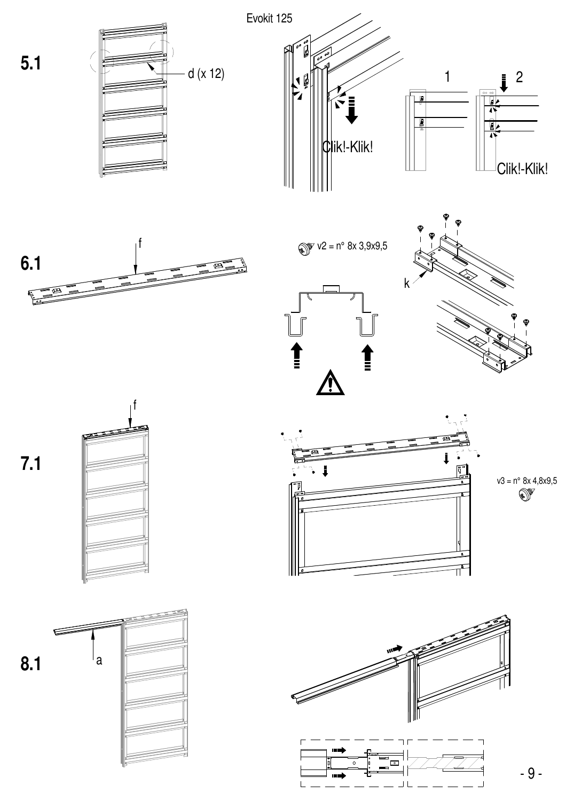











 $8.1$ ∣a





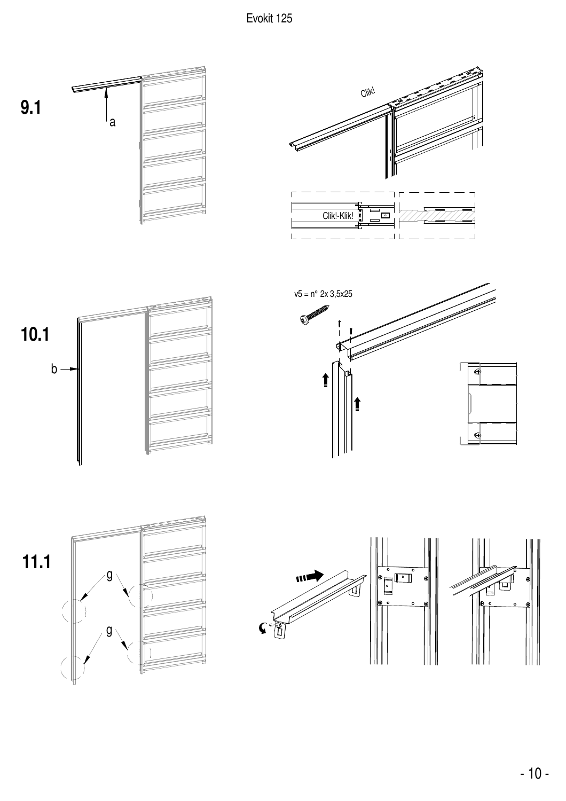Evokit 125













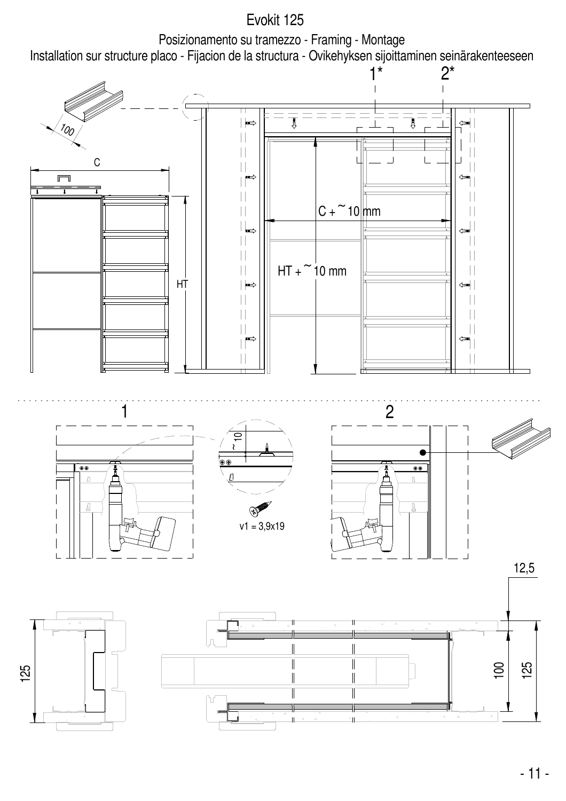